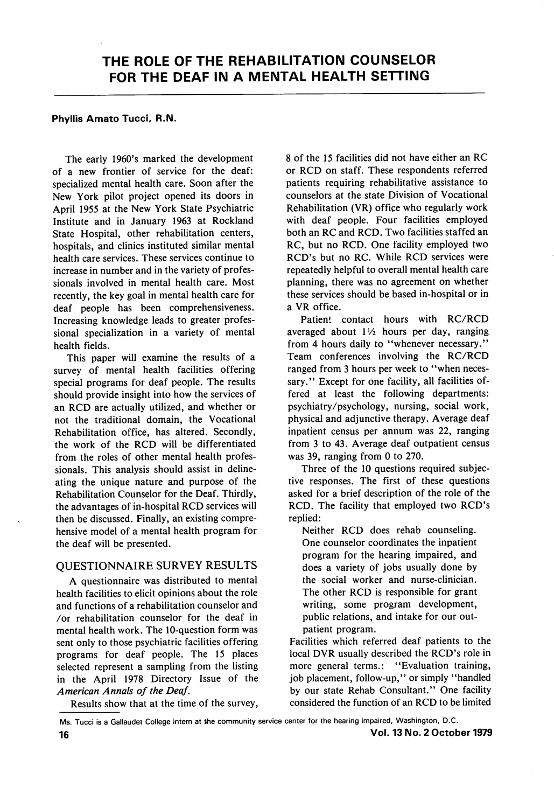#### Phyllis Amato Tucci, R.N.

The early 1960's marked the development of a new frontier of service for the deaf: specialized mental health care. Soon after the New York pilot project opened its doors in April 1955 at the New York State Psychiatric Institute and in January 1963 at Rockland State Hospital, other rehabilitation centers, hospitals, and clinics instituted similar mental health care services. These services continue to increase in number and in the variety of profes sionals involved in mental health care. Most recently, the key goal in mental health care for deaf people has been comprehensiveness. Increasing knowledge leads to greater profes sional specialization in a variety of mental health fields.

This paper will examine the results of a survey of mental health facilities offering special programs for deaf people. The results should provide insight into how the services of an RCD are actually utilized, and whether or not the traditional domain, the Vocational Rehabilitation office, has altered. Secondly, the work of the RCD will be differentiated from the roles of other mental health profes sionals. This analysis should assist in deline ating the unique nature and purpose of the Rehabilitation Counselor for the Deaf. Thirdly, the advantages of in-hospital RCD services will then be discussed. Finally, an existing compre hensive model of a mental health program for the deaf will be presented.

### QUESTIONNAIRE SURVEY RESULTS

A questionnaire was distributed to mental health facilities to elicit opinions about the role and functions of a rehabilitation counselor and /or rehabilitation counselor for the deaf in mental health work. The 10-question form was sent only to those psychiatric facilities offering programs for deaf people. The 15 places selected represent a sampling from the listing in the April 1978 Directory Issue of the American Annals of the Deaf.

Results show that at the time of the survey.

8 of the 15 facilities did not have either an RC or RCD on staff. These respondents referred patients requiring rehabilitative assistance to counselors at the state Division of Vocational Rehabilitation (VR) office who regularly work with deaf people. Four facilities employed both an RC and RCD. Two facilities staffed an RC, but no RCD. One facility employed two RCD's but no RC. While RCD services were repeatedly helpful to overall mental health care planning, there was no agreement on whether these services should be based in-hospital or in a VR office.

Patient contact hours with RC/RCD averaged about  $1\frac{1}{2}$  hours per day, ranging from 4 hours daily to "whenever necessary." Team conferences involving the RC/RCD ranged from 3 hours per week to "when necessary." Except for one facility, all facilities offered at least the following departments: psychiatry/psychology, nursing, social work, physical and adjunctive therapy. Average deaf inpatient census per annum was 22, ranging from 3 to 43. Average deaf outpatient census was 39, ranging from 0 to 270.

Three of the 10 questions required subjec tive responses. The first of these questions asked for a brief description of the role of the RCD. The facility that employed two RCD's replied:

Neither RCD does rehab counseling. One counselor coordinates the inpatient program for the hearing impaired, and does a variety of jobs usually done by the social worker and nurse-clinician. The other RCD is responsible for grant writing, some program development, public relations, and intake for our out patient program.

Facilities which referred deaf patients to the local DVR usually described the RCD's role in more general terms.: "Evaluation training, job placement, follow-up," or simply "handled by our state Rehab Consultant." One facility considered the function of an RCD to be limited

Ms. Tucci is a Gallaudet College intern at the community service center for the hearing impaired, Washington, D.C.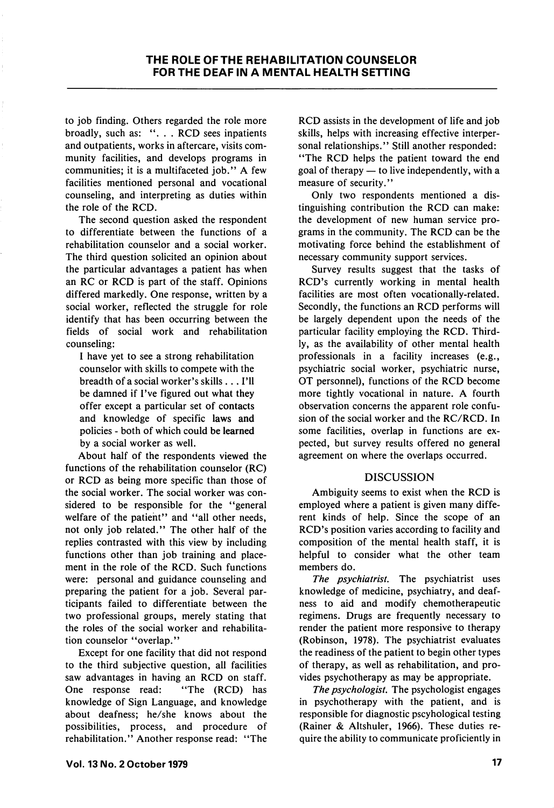to job finding. Others regarded the role more broadly, such as: ". . . RCD sees inpatients and outpatients, works in aftercare, visits com munity facilities, and develops programs in communities; it is a multifaceted job." A few facilities mentioned personal and vocational counseling, and interpreting as duties within the role of the RCD.

The second question asked the respondent to differentiate between the functions of a rehabilitation counselor and a social worker. The third question solicited an opinion about the particular advantages a patient has when an RC or RCD is part of the staff. Opinions differed markedly. One response, written by a social worker, reflected the struggle for role identify that has been occurring between the fields of social work and rehabilitation counseling:

I have yet to see a strong rehabilitation counselor with skills to compete with the breadth of a social worker's skills... I'll be damned if I've figured out what they offer except a particular set of contacts and knowledge of specific laws and policies - both of which could be learned by a social worker as well.

About half of the respondents viewed the functions of the rehabilitation counselor (RC) or RCD as being more specific than those of the social worker. The social worker was con sidered to be responsible for the "general" welfare of the patient" and ''all other needs, not only job related." The other half of the replies contrasted with this view by including functions other than job training and place ment in the role of the RCD. Such functions were: personal and guidance counseling and preparing the patient for a job. Several par ticipants failed to differentiate between the two professional groups, merely stating that the roles of the social worker and rehabilita tion counselor "overlap."

Except for one facility that did not respond to the third subjective question, all facilities saw advantages in having an RCD on staff. One response read: "The (RCD) has knowledge of Sign Language, and knowledge about deafness; he/she knows about the possibilities, process, and procedure of rehabilitation." Another response read: "The RCD assists in the development of life and job skills, helps with increasing effective interper sonal relationships." Still another responded: "The RCD helps the patient toward the end goal of therapy — to live independently, with a measure of security."

Only two respondents mentioned a dis tinguishing contribution the RCD can make: the development of new human service pro grams in the community. The RCD can be the motivating force behind the establishment of necessary community support services.

Survey results suggest that the tasks of RCD's currently working in mental health facilities are most often vocationally-related. Secondly, the functions an RCD performs will be largely dependent upon the needs of the particular facility employing the RCD. Third ly, as the availability of other mental health professionals in a facility increases (e.g., psychiatric social worker, psychiatric nurse, OT personnel), functions of the RCD become more tightly vocational in nature. A fourth observation concerns the apparent role confu sion of the social worker and the RC/RCD. In some facilities, overlap in functions are ex pected, but survey results offered no general agreement on where the overlaps occurred.

# DISCUSSION

Ambiguity seems to exist when the RCD is employed where a patient is given many diffe rent kinds of help. Since the scope of an RCD's position varies according to facility and composition of the mental health staff, it is helpful to consider what the other team members do.

The *psychiatrist*. The psychiatrist uses knowledge of medicine, psychiatry, and deaf ness to aid and modify chemotherapeutic regimens. Drugs are frequently necessary to render the patient more responsive to therapy (Robinson, 1978). The psychiatrist evaluates the readiness of the patient to begin other types of therapy, as well as rehabilitation, and pro vides psychotherapy as may be appropriate.

The *psychologist*. The psychologist engages in psychotherapy with the patient, and is responsible for diagnostic pscyhological testing (Rainer & Altshuler, 1966). These duties re quire the ability to communicate proficiently in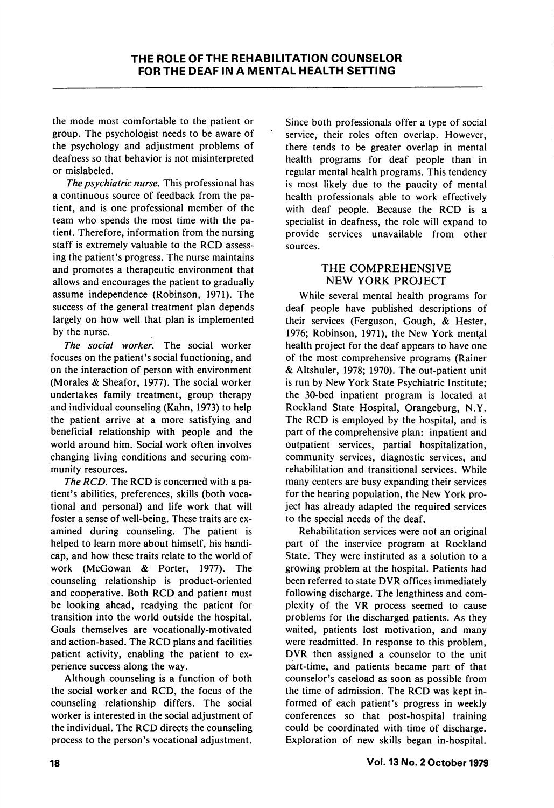the mode most comfortable to the patient or group. The psychologist needs to be aware of the psychology and adjustment problems of deafness so that behavior is not misinterpreted or mislabeled.

The psychiatric nurse. This professional has a continuous source of feedback from the pa tient, and is one professional member of the team who spends the most time with the pa tient. Therefore, information from the nursing staff is extremely valuable to the RCD assess ing the patient's progress. The nurse maintains and promotes a therapeutic environment that allows and encourages the patient to gradually assume independence (Robinson, 1971). The success of the general treatment plan depends largely on how well that plan is implemented by the nurse.

The social worker. The social worker focuses on the patient's social functioning, and on the interaction of person with environment (Morales & Sheafor, 1977). The social worker undertakes family treatment, group therapy and individual counseling (Kahn, 1973) to help the patient arrive at a more satisfying and beneficial relationship with people and the world around him. Social work often involves changing living conditions and securing com munity resources.

The RCD. The RCD is concerned with a patient's abilities, preferences, skills (both voca tional and personal) and life work that will foster a sense of well-being. These traits are ex amined during counseling. The patient is helped to learn more about himself, his handi cap, and how these traits relate to the world of work (McGowan & Porter, 1977). The counseling relationship is product-oriented and cooperative. Both RCD and patient must be looking ahead, readying the patient for transition into the world outside the hospital. Goals themselves are vocationally-motivated and action-based. The RCD plans and facilities patient activity, enabling the patient to ex perience success along the way.

Although counseling is a function of both the social worker and RCD, the focus of the counseling relationship differs. The social worker is interested in the social adjustment of the individual. The RCD directs the counseling process to the person's vocational adjustment.

Since both professionals offer a type of social service, their roles often overlap. However, there tends to be greater overlap in mental health programs for deaf people than in regular mental health programs. This tendency is most likely due to the paucity of mental health professionals able to work effectively with deaf people. Because the RCD is a specialist in deafness, the role will expand to provide services unavailable from other sources.

# THE COMPREHENSIVE NEW YORK PROJECT

While several mental health programs for deaf people have published descriptions of their services (Ferguson, Gough, & Hester, 1976; Robinson, 1971), the New York mental health project for the deaf appears to have one of the most comprehensive programs (Rainer & Altshuler, 1978; 1970). The out-patient unit is run by New York State Psychiatric Institute; the 30-bed inpatient program is located at Rockland State Hospital, Orangeburg, N.Y. The RCD is employed by the hospital, and is part of the comprehensive plan: inpatient and outpatient services, partial hospitalization, community services, diagnostic services, and rehabilitation and transitional services. While many centers are busy expanding their services for the hearing population, the New York pro ject has already adapted the required services to the special needs of the deaf.

Rehabilitation services were not an original part of the inservice program at Rockland State. They were instituted as a solution to a growing problem at the hospital. Patients had been referred to state DVR offices immediately following discharge. The lengthiness and com plexity of the VR process seemed to cause problems for the discharged patients. As they waited, patients lost motivation, and many were readmitted. In response to this problem, DVR then assigned a counselor to the unit part-time, and patients became part of that counselor's caseload as soon as possible from the time of admission. The RCD was kept in formed of each patient's progress in weekly conferences so that post-hospital training could be coordinated with time of discharge. Exploration of new skills began in-hospital.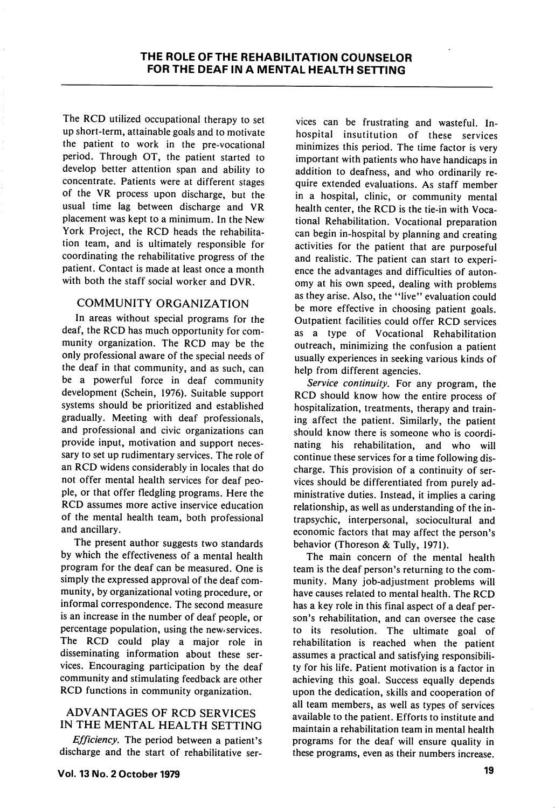The RCD utilized occupational therapy to set up short-term, attainable goals and to motivate the patient to work in the pre-vocational period. Through OT, the patient started to develop better attention span and ability to concentrate. Patients were at different stages of the VR process upon discharge, but the usual time lag between discharge and VR placement was kept to a minimum. In the New York Project, the RCD heads the rehabilita tion team, and is ultimately responsible for coordinating the rehabilitative progress of the patient. Contact is made at least once a month with both the staff social worker and DVR.

# COMMUNITY ORGANIZATION

In areas without special programs for the deaf, the RCD has much opportunity for com munity organization. The RCD may be the only professional aware of the special needs of the deaf in that community, and as such, can be a powerful force in deaf community development (Schein, 1976). Suitable support systems should be prioritized and established gradually. Meeting with deaf professionals, and professional and civic organizations can provide input, motivation and support neces sary to set up rudimentary services. The role of an RCD widens considerably in locales that do not offer mental health services for deaf peo ple, or that offer fledgling programs. Here the RCD assumes more active inservice education of the mental health team, both professional and ancillary.

The present author suggests two standards by which the effectiveness of a mental health program for the deaf can be measured. One is simply the expressed approval of the deaf com munity, by organizational voting procedure, or informal correspondence. The second measure is an increase in the number of deaf people, or percentage population, using the new services. The RCD could play a major role in disseminating information about these ser vices. Encouraging participation by the deaf community and stimulating feedback are other RCD functions in community organization.

### ADVANTAGES OF RCD SERVICES IN THE MENTAL HEALTH SETTING

Efficiency. The period between a patient's discharge and the start of rehabilitative ser-

vices can be frustrating and wasteful. Inhospital insutitution of these services minimizes this period. The time factor is very important with patients who have handicaps in addition to deafness, and who ordinarily re quire extended evaluations. As staff member in a hospital, clinic, or community mental health center, the RCD is the tie-in with Voca tional Rehabilitation. Vocational preparation can begin in-hospital by planning and creating activities for the patient that are purposeful and realistic. The patient can start to experi ence the advantages and difficulties of auton omy at his own speed, dealing with problems as they arise. Also, the "live" evaluation could be more effective in choosing patient goals. Outpatient facilities could offer RCD services as a type of Vocational Rehabilitation outreach, minimizing the confusion a patient usually experiences in seeking various kinds of help from different agencies.

Service continuity. For any program, the RCD should know how the entire process of hospitalization, treatments, therapy and train ing affect the patient. Similarly, the patient should know there is someone who is coordi nating his rehabilitation, and who will continue these services for a time following dis charge. This provision of a continuity of ser vices should be differentiated from purely ad ministrative duties. Instead, it implies a caring relationship, as well as understanding of the intrapsychic, interpersonal, sociocultural and economic factors that may affect the person's behavior (Thoreson & Tully, 1971).

The main concern of the mental health team is the deaf person's returning to the com munity. Many job-adjustment problems will have causes related to mental health. The RCD has a key role in this final aspect of a deaf per son's rehabilitation, and can oversee the case to its resolution. The ultimate goal of rehabilitation is reached when the patient assumes a practical and satisfying responsibili ty for his life. Patient motivation is a factor in achieving this goal. Success equally depends upon the dedication, skills and cooperation of all team members, as well as types of services available to the patient. Efforts to institute and maintain a rehabilitation team in mental health programs for the deaf will ensure quality in these programs, even as their numbers increase.